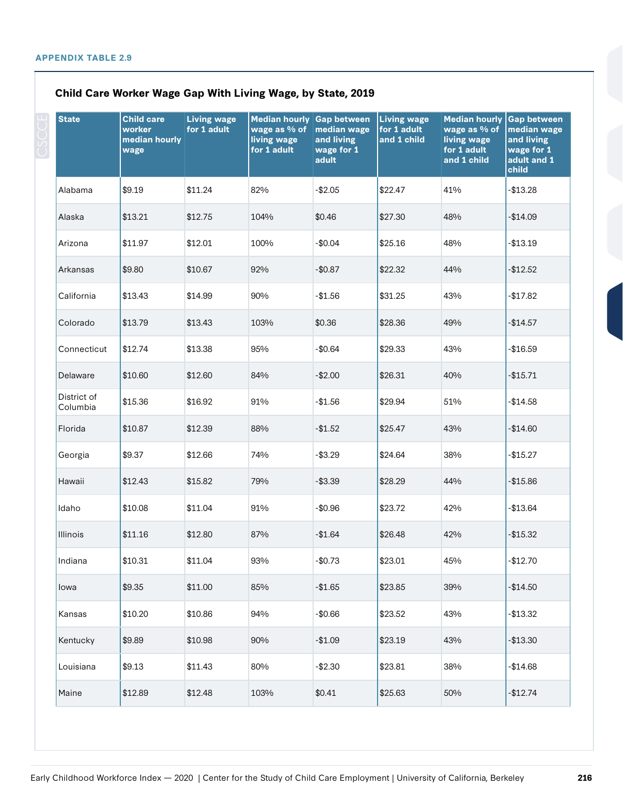| <b>State</b>            | <b>Child care</b><br>worker<br>median hourly<br>wage | <b>Living wage</b><br>for 1 adult | <b>Median hourly Gap between</b><br>wage as % of<br>living wage<br>for 1 adult | median wage<br>and living<br>wage for 1<br>adult | <b>Living wage</b><br>for 1 adult<br>and 1 child | <b>Median hourly</b><br>wage as % of<br>living wage<br>for 1 adult<br>and 1 child | <b>Gap between</b><br>median wage<br>and living<br>wage for 1<br>adult and 1<br>child |
|-------------------------|------------------------------------------------------|-----------------------------------|--------------------------------------------------------------------------------|--------------------------------------------------|--------------------------------------------------|-----------------------------------------------------------------------------------|---------------------------------------------------------------------------------------|
| Alabama                 | \$9.19                                               | \$11.24                           | 82%                                                                            | $-$2.05$                                         | \$22.47                                          | 41%                                                                               | $-$13.28$                                                                             |
| Alaska                  | \$13.21                                              | \$12.75                           | 104%                                                                           | \$0.46                                           | \$27.30                                          | 48%                                                                               | $-$14.09$                                                                             |
| Arizona                 | \$11.97                                              | \$12.01                           | 100%                                                                           | $-$0.04$                                         | \$25.16                                          | 48%                                                                               | $-$13.19$                                                                             |
| Arkansas                | \$9.80                                               | \$10.67                           | 92%                                                                            | $-$0.87$                                         | \$22.32                                          | 44%                                                                               | $-$12.52$                                                                             |
| California              | \$13.43                                              | \$14.99                           | 90%                                                                            | $-$1.56$                                         | \$31.25                                          | 43%                                                                               | $-$17.82$                                                                             |
| Colorado                | \$13.79                                              | \$13.43                           | 103%                                                                           | \$0.36                                           | \$28.36                                          | 49%                                                                               | $-$14.57$                                                                             |
| Connecticut             | \$12.74                                              | \$13.38                           | 95%                                                                            | $-$0.64$                                         | \$29.33                                          | 43%                                                                               | $-$16.59$                                                                             |
| Delaware                | \$10.60                                              | \$12.60                           | 84%                                                                            | $-$2.00$                                         | \$26.31                                          | 40%                                                                               | $-$15.71$                                                                             |
| District of<br>Columbia | \$15.36                                              | \$16.92                           | 91%                                                                            | $-$1.56$                                         | \$29.94                                          | 51%                                                                               | $-$ \$14.58                                                                           |
| Florida                 | \$10.87                                              | \$12.39                           | 88%                                                                            | $-$1.52$                                         | \$25.47                                          | 43%                                                                               | $-$14.60$                                                                             |
| Georgia                 | \$9.37                                               | \$12.66                           | 74%                                                                            | $-$3.29$                                         | \$24.64                                          | 38%                                                                               | $-$15.27$                                                                             |
| Hawaii                  | \$12.43                                              | \$15.82                           | 79%                                                                            | $-$3.39$                                         | \$28.29                                          | 44%                                                                               | $-$ \$15.86                                                                           |
| Idaho                   | \$10.08                                              | \$11.04                           | 91%                                                                            | $-$0.96$                                         | \$23.72                                          | 42%                                                                               | $-$13.64$                                                                             |
| Illinois                | \$11.16                                              | \$12.80                           | 87%                                                                            | $-$1.64$                                         | \$26.48                                          | 42%                                                                               | $-$15.32$                                                                             |
| Indiana                 | \$10.31                                              | \$11.04                           | 93%                                                                            | $-$0.73$                                         | \$23.01                                          | 45%                                                                               | $-$12.70$                                                                             |
| lowa                    | \$9.35                                               | \$11.00                           | 85%                                                                            | $-$1.65$                                         | \$23.85                                          | 39%                                                                               | $-$14.50$                                                                             |
| Kansas                  | \$10.20                                              | \$10.86                           | 94%                                                                            | $-$0.66$                                         | \$23.52                                          | 43%                                                                               | $-$13.32$                                                                             |
| Kentucky                | \$9.89                                               | \$10.98                           | 90%                                                                            | $-$1.09$                                         | \$23.19                                          | 43%                                                                               | $-$13.30$                                                                             |
| Louisiana               | \$9.13                                               | \$11.43                           | 80%                                                                            | $-$2.30$                                         | \$23.81                                          | 38%                                                                               | -\$14.68                                                                              |
| Maine                   | \$12.89                                              | \$12.48                           | 103%                                                                           | \$0.41                                           | \$25.63                                          | 50%                                                                               | $-$12.74$                                                                             |

## **Child Care Worker Wage Gap With Living Wage, by State, 2019**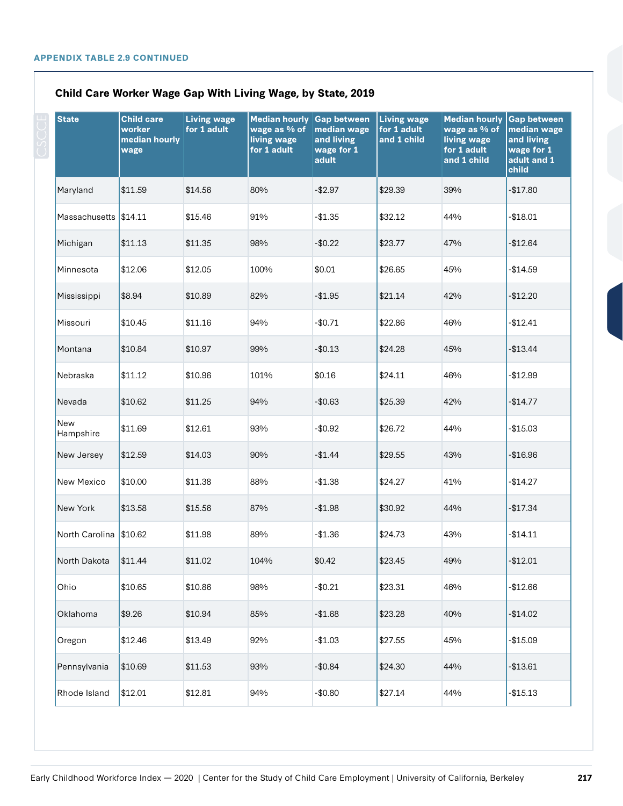| <b>State</b>            | <b>Child care</b><br>worker<br>median hourly<br>wage | <b>Living wage</b><br>for 1 adult | Median hourly Gap between<br>wage as % of<br>living wage<br>for 1 adult | median wage<br>and living<br>wage for 1<br>adult | <b>Living wage</b><br>for 1 adult<br>and 1 child | <b>Median hourly</b><br>wage as % of<br>living wage<br>for 1 adult<br>and 1 child | <b>Gap between</b><br>median wage<br>and living<br>wage for 1<br>adult and 1<br>child |
|-------------------------|------------------------------------------------------|-----------------------------------|-------------------------------------------------------------------------|--------------------------------------------------|--------------------------------------------------|-----------------------------------------------------------------------------------|---------------------------------------------------------------------------------------|
| Maryland                | \$11.59                                              | \$14.56                           | 80%                                                                     | $-$2.97$                                         | \$29.39                                          | 39%                                                                               | -\$17.80                                                                              |
| Massachusetts           | \$14.11                                              | \$15.46                           | 91%                                                                     | $-$1.35$                                         | \$32.12                                          | 44%                                                                               | $-$18.01$                                                                             |
| Michigan                | \$11.13                                              | \$11.35                           | 98%                                                                     | $-$0.22$                                         | \$23.77                                          | 47%                                                                               | $-$12.64$                                                                             |
| Minnesota               | \$12.06                                              | \$12.05                           | 100%                                                                    | \$0.01                                           | \$26.65                                          | 45%                                                                               | $-$14.59$                                                                             |
| Mississippi             | \$8.94                                               | \$10.89                           | 82%                                                                     | $-$1.95$                                         | \$21.14                                          | 42%                                                                               | $-$12.20$                                                                             |
| Missouri                | \$10.45                                              | \$11.16                           | 94%                                                                     | $-$0.71$                                         | \$22.86                                          | 46%                                                                               | $-$12.41$                                                                             |
| Montana                 | \$10.84                                              | \$10.97                           | 99%                                                                     | $-$0.13$                                         | \$24.28                                          | 45%                                                                               | -\$13.44                                                                              |
| Nebraska                | \$11.12                                              | \$10.96                           | 101%                                                                    | \$0.16                                           | \$24.11                                          | 46%                                                                               | -\$12.99                                                                              |
| Nevada                  | \$10.62                                              | \$11.25                           | 94%                                                                     | $-$0.63$                                         | \$25.39                                          | 42%                                                                               | -\$14.77                                                                              |
| <b>New</b><br>Hampshire | \$11.69                                              | \$12.61                           | 93%                                                                     | $-$0.92$                                         | \$26.72                                          | 44%                                                                               | $-$15.03$                                                                             |
| New Jersey              | \$12.59                                              | \$14.03                           | 90%                                                                     | $-$1.44$                                         | \$29.55                                          | 43%                                                                               | -\$16.96                                                                              |
| <b>New Mexico</b>       | \$10.00                                              | \$11.38                           | 88%                                                                     | $-$1.38$                                         | \$24.27                                          | 41%                                                                               | $-$14.27$                                                                             |
| New York                | \$13.58                                              | \$15.56                           | 87%                                                                     | $-$1.98$                                         | \$30.92                                          | 44%                                                                               | -\$17.34                                                                              |
| North Carolina          | \$10.62                                              | \$11.98                           | 89%                                                                     | $-$1.36$                                         | \$24.73                                          | 43%                                                                               | $-$14.11$                                                                             |
| North Dakota            | \$11.44                                              | \$11.02                           | 104%                                                                    | \$0.42                                           | \$23.45                                          | 49%                                                                               | $-$12.01$                                                                             |
| Ohio                    | \$10.65                                              | \$10.86                           | 98%                                                                     | $-$0.21$                                         | \$23.31                                          | 46%                                                                               | $-$12.66$                                                                             |
| Oklahoma                | \$9.26                                               | \$10.94                           | 85%                                                                     | $-$1.68$                                         | \$23.28                                          | 40%                                                                               | \$14.02                                                                               |
| Oregon                  | \$12.46                                              | \$13.49                           | 92%                                                                     | $-$1.03$                                         | \$27.55                                          | 45%                                                                               | -\$15.09                                                                              |
| Pennsylvania            | \$10.69                                              | \$11.53                           | 93%                                                                     | $-$0.84$                                         | \$24.30                                          | 44%                                                                               | $-$ \$13.61                                                                           |
| Rhode Island            | \$12.01                                              | \$12.81                           | 94%                                                                     | $-$0.80$                                         | \$27.14                                          | 44%                                                                               | $-$15.13$                                                                             |

## **Child Care Worker Wage Gap With Living Wage, by State, 2019**